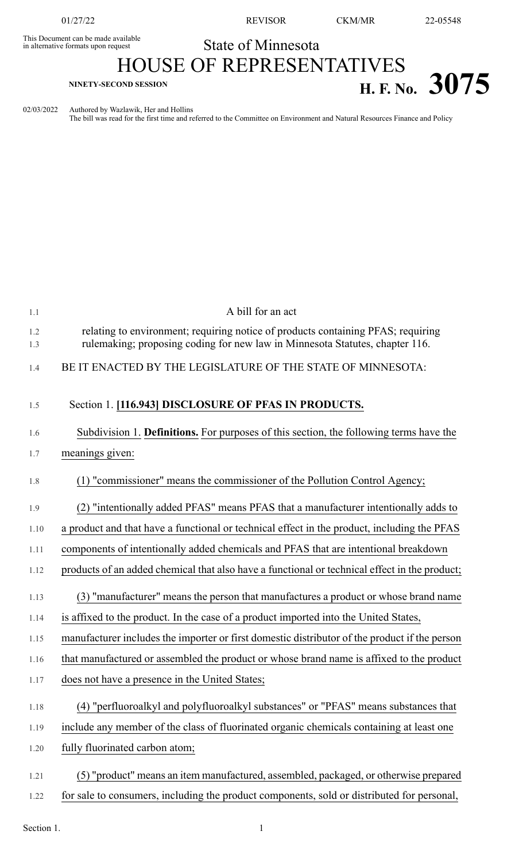This Document can be made available<br>in alternative formats upon request

01/27/22 REVISOR CKM/MR 22-05548

## State of Minnesota HOUSE OF REPRESENTATIVES

## **H. F. No. 3075 H. F. No. 3075**

02/03/2022 Authored by Wazlawik, Her and Hollins

The bill was read for the first time and referred to the Committee on Environment and Natural Resources Finance and Policy

| 1.1        | A bill for an act                                                                                                                                                |
|------------|------------------------------------------------------------------------------------------------------------------------------------------------------------------|
| 1.2<br>1.3 | relating to environment; requiring notice of products containing PFAS; requiring<br>rulemaking; proposing coding for new law in Minnesota Statutes, chapter 116. |
| 1.4        | BE IT ENACTED BY THE LEGISLATURE OF THE STATE OF MINNESOTA:                                                                                                      |
| 1.5        | Section 1. [116.943] DISCLOSURE OF PFAS IN PRODUCTS.                                                                                                             |
| 1.6        | Subdivision 1. Definitions. For purposes of this section, the following terms have the                                                                           |
| 1.7        | meanings given:                                                                                                                                                  |
| 1.8        | (1) "commissioner" means the commissioner of the Pollution Control Agency;                                                                                       |
| 1.9        | (2) "intentionally added PFAS" means PFAS that a manufacturer intentionally adds to                                                                              |
| 1.10       | a product and that have a functional or technical effect in the product, including the PFAS                                                                      |
| 1.11       | components of intentionally added chemicals and PFAS that are intentional breakdown                                                                              |
| 1.12       | products of an added chemical that also have a functional or technical effect in the product;                                                                    |
| 1.13       | (3) "manufacturer" means the person that manufactures a product or whose brand name                                                                              |
| 1.14       | is affixed to the product. In the case of a product imported into the United States,                                                                             |
| 1.15       | manufacturer includes the importer or first domestic distributor of the product if the person                                                                    |
| 1.16       | that manufactured or assembled the product or whose brand name is affixed to the product                                                                         |
| 1.17       | does not have a presence in the United States;                                                                                                                   |
| 1.18       | (4) "perfluoroalkyl and polyfluoroalkyl substances" or "PFAS" means substances that                                                                              |
| 1.19       | include any member of the class of fluorinated organic chemicals containing at least one                                                                         |
| 1.20       | fully fluorinated carbon atom;                                                                                                                                   |
| 1.21       | (5) "product" means an item manufactured, assembled, packaged, or otherwise prepared                                                                             |
| 1.22       | for sale to consumers, including the product components, sold or distributed for personal,                                                                       |

Section 1.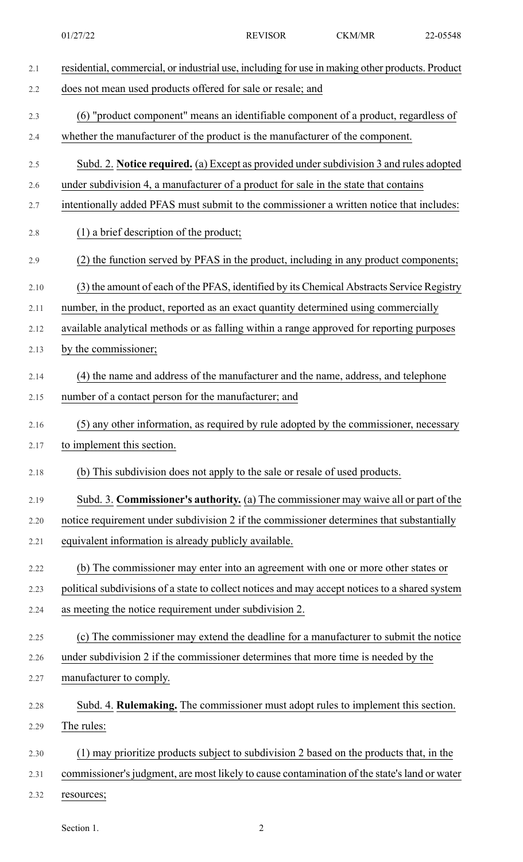| 2.1  | residential, commercial, or industrial use, including for use in making other products. Product |
|------|-------------------------------------------------------------------------------------------------|
| 2.2  | does not mean used products offered for sale or resale; and                                     |
| 2.3  | (6) "product component" means an identifiable component of a product, regardless of             |
| 2.4  | whether the manufacturer of the product is the manufacturer of the component.                   |
| 2.5  | Subd. 2. Notice required. (a) Except as provided under subdivision 3 and rules adopted          |
| 2.6  | under subdivision 4, a manufacturer of a product for sale in the state that contains            |
| 2.7  | intentionally added PFAS must submit to the commissioner a written notice that includes:        |
| 2.8  | $(1)$ a brief description of the product;                                                       |
| 2.9  | (2) the function served by PFAS in the product, including in any product components;            |
| 2.10 | (3) the amount of each of the PFAS, identified by its Chemical Abstracts Service Registry       |
| 2.11 | number, in the product, reported as an exact quantity determined using commercially             |
| 2.12 | available analytical methods or as falling within a range approved for reporting purposes       |
| 2.13 | by the commissioner;                                                                            |
| 2.14 | (4) the name and address of the manufacturer and the name, address, and telephone               |
| 2.15 | number of a contact person for the manufacturer; and                                            |
| 2.16 | (5) any other information, as required by rule adopted by the commissioner, necessary           |
| 2.17 | to implement this section.                                                                      |
| 2.18 | (b) This subdivision does not apply to the sale or resale of used products.                     |
| 2.19 | Subd. 3. Commissioner's authority. (a) The commissioner may waive all or part of the            |
| 2.20 | notice requirement under subdivision 2 if the commissioner determines that substantially        |
| 2.21 | equivalent information is already publicly available.                                           |
| 2.22 | (b) The commissioner may enter into an agreement with one or more other states or               |
| 2.23 | political subdivisions of a state to collect notices and may accept notices to a shared system  |
| 2.24 | as meeting the notice requirement under subdivision 2.                                          |
| 2.25 | (c) The commissioner may extend the deadline for a manufacturer to submit the notice            |
| 2.26 | under subdivision 2 if the commissioner determines that more time is needed by the              |
| 2.27 | manufacturer to comply.                                                                         |
| 2.28 | Subd. 4. Rulemaking. The commissioner must adopt rules to implement this section.               |
| 2.29 | The rules:                                                                                      |
| 2.30 | (1) may prioritize products subject to subdivision 2 based on the products that, in the         |
| 2.31 | commissioner's judgment, are most likely to cause contamination of the state's land or water    |
| 2.32 | resources;                                                                                      |

Section 1. 2